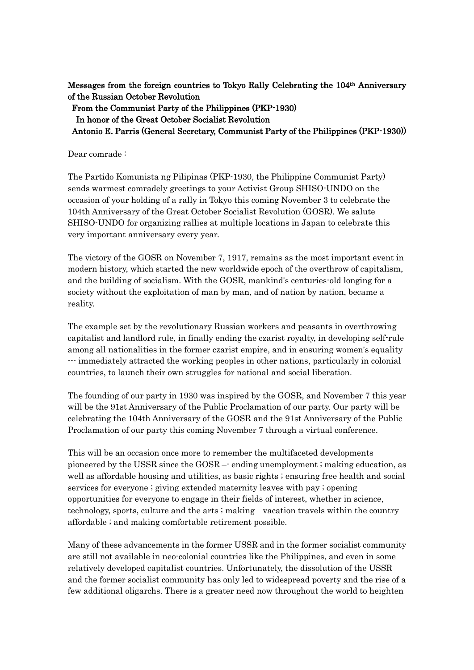Messages from the foreign countries to Tokyo Rally Celebrating the 104th Anniversary of the Russian October Revolution

From the Communist Party of the Philippines (PKP-1930)

In honor of the Great October Socialist Revolution

Antonio E. Parris (General Secretary, Communist Party of the Philippines (PKP-1930))

Dear comrade :

The Partido Komunista ng Pilipinas (PKP-1930, the Philippine Communist Party) sends warmest comradely greetings to your Activist Group SHISO-UNDO on the occasion of your holding of a rally in Tokyo this coming November 3 to celebrate the 104th Anniversary of the Great October Socialist Revolution (GOSR). We salute SHISO-UNDO for organizing rallies at multiple locations in Japan to celebrate this very important anniversary every year.

The victory of the GOSR on November 7, 1917, remains as the most important event in modern history, which started the new worldwide epoch of the overthrow of capitalism, and the building of socialism. With the GOSR, mankind's centuries-old longing for a society without the exploitation of man by man, and of nation by nation, became a reality.

The example set by the revolutionary Russian workers and peasants in overthrowing capitalist and landlord rule, in finally ending the czarist royalty, in developing self-rule among all nationalities in the former czarist empire, and in ensuring women's equality --- immediately attracted the working peoples in other nations, particularly in colonial countries, to launch their own struggles for national and social liberation.

The founding of our party in 1930 was inspired by the GOSR, and November 7 this year will be the 91st Anniversary of the Public Proclamation of our party. Our party will be celebrating the 104th Anniversary of the GOSR and the 91st Anniversary of the Public Proclamation of our party this coming November 7 through a virtual conference.

This will be an occasion once more to remember the multifaceted developments pioneered by the USSR since the GOSR –- ending unemployment ; making education, as well as affordable housing and utilities, as basic rights ; ensuring free health and social services for everyone ; giving extended maternity leaves with pay ; opening opportunities for everyone to engage in their fields of interest, whether in science, technology, sports, culture and the arts ; making vacation travels within the country affordable ; and making comfortable retirement possible.

Many of these advancements in the former USSR and in the former socialist community are still not available in neo-colonial countries like the Philippines, and even in some relatively developed capitalist countries. Unfortunately, the dissolution of the USSR and the former socialist community has only led to widespread poverty and the rise of a few additional oligarchs. There is a greater need now throughout the world to heighten